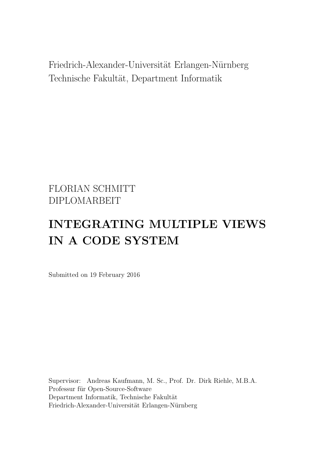Friedrich-Alexander-Universität Erlangen-Nürnberg Technische Fakultät, Department Informatik

# FLORIAN SCHMITT DIPLOMARBEIT

# INTEGRATING MULTIPLE VIEWS IN A CODE SYSTEM

Submitted on 19 February 2016

Supervisor: Andreas Kaufmann, M. Sc., Prof. Dr. Dirk Riehle, M.B.A. Professur für Open-Source-Software Department Informatik, Technische Fakultät Friedrich-Alexander-Universität Erlangen-Nürnberg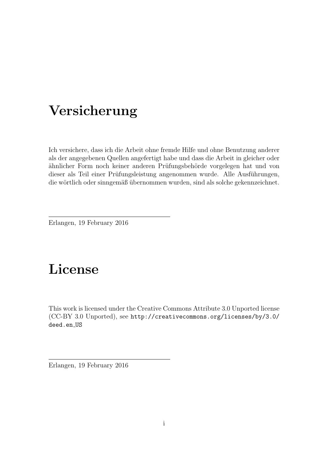# Versicherung

Ich versichere, dass ich die Arbeit ohne fremde Hilfe und ohne Benutzung anderer als der angegebenen Quellen angefertigt habe und dass die Arbeit in gleicher oder ähnlicher Form noch keiner anderen Prüfungsbehörde vorgelegen hat und von dieser als Teil einer Prüfungsleistung angenommen wurde. Alle Ausführungen, die wörtlich oder sinngemäß übernommen wurden, sind als solche gekennzeichnet.

Erlangen, 19 February 2016

# License

This work is licensed under the Creative Commons Attribute 3.0 Unported license (CC-BY 3.0 Unported), see [http://creativecommons.org/licenses/by/3.0/](http://creativecommons.org/licenses/by/3.0/deed.en_US) [deed.en](http://creativecommons.org/licenses/by/3.0/deed.en_US) US

Erlangen, 19 February 2016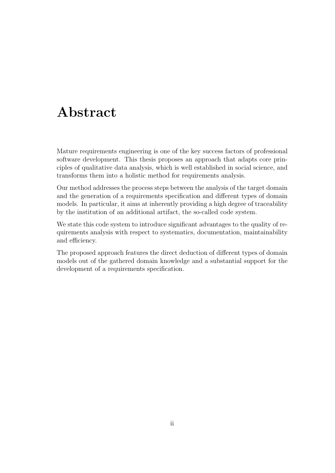# Abstract

Mature requirements engineering is one of the key success factors of professional software development. This thesis proposes an approach that adapts core principles of qualitative data analysis, which is well established in social science, and transforms them into a holistic method for requirements analysis.

Our method addresses the process steps between the analysis of the target domain and the generation of a requirements specification and different types of domain models. In particular, it aims at inherently providing a high degree of traceability by the institution of an additional artifact, the so-called code system.

We state this code system to introduce significant advantages to the quality of requirements analysis with respect to systematics, documentation, maintainability and efficiency.

The proposed approach features the direct deduction of different types of domain models out of the gathered domain knowledge and a substantial support for the development of a requirements specification.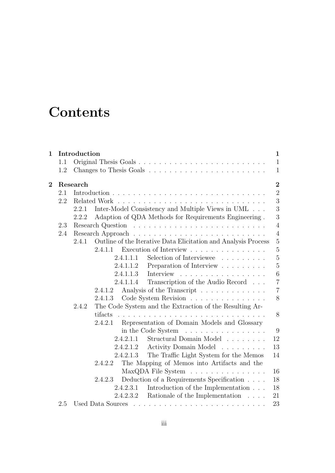# **Contents**

| $\mathbf 1$    |     | Introduction                                                            | $\mathbf{1}$   |
|----------------|-----|-------------------------------------------------------------------------|----------------|
|                | 1.1 |                                                                         | $\mathbf{1}$   |
|                | 1.2 |                                                                         | $\mathbf{1}$   |
| $\overline{2}$ |     | Research                                                                | $\bf{2}$       |
|                | 2.1 |                                                                         | $\overline{2}$ |
|                | 2.2 |                                                                         | 3              |
|                |     | Inter-Model Consistency and Multiple Views in UML<br>2.2.1              | 3              |
|                |     | Adaption of QDA Methods for Requirements Engineering.<br>2.2.2          | 3              |
|                | 2.3 |                                                                         | $\overline{4}$ |
|                | 2.4 |                                                                         | $\overline{4}$ |
|                |     | Outline of the Iterative Data Elicitation and Analysis Process<br>2.4.1 | $\overline{5}$ |
|                |     | 2.4.1.1 Execution of Interview                                          | $\bf 5$        |
|                |     | Selection of Interviewee<br>2.4.1.1.1                                   | $\overline{5}$ |
|                |     | Preparation of Interview<br>2.4.1.1.2                                   | $\overline{5}$ |
|                |     | Interview<br>2.4.1.1.3                                                  | $\,6$          |
|                |     | Transcription of the Audio Record<br>2.4.1.1.4                          | $\overline{7}$ |
|                |     | Analysis of the Transcript<br>2.4.1.2                                   | $\overline{7}$ |
|                |     | Code System Revision<br>2.4.1.3                                         | 8              |
|                |     | The Code System and the Extraction of the Resulting Ar-<br>2.4.2        |                |
|                |     | tifacts                                                                 | 8              |
|                |     | Representation of Domain Models and Glossary<br>2.4.2.1                 |                |
|                |     | in the Code System $\ldots \ldots \ldots \ldots \ldots$                 | 9              |
|                |     | 2.4.2.1.1<br>Structural Domain Model                                    | 12             |
|                |     | Activity Domain Model<br>2.4.2.1.2                                      | 13             |
|                |     | The Traffic Light System for the Memos<br>2.4.2.1.3                     | 14             |
|                |     | The Mapping of Memos into Artifacts and the<br>2.4.2.2                  |                |
|                |     | MaxQDA File System                                                      | 16             |
|                |     | Deduction of a Requirements Specification<br>2.4.2.3                    | 18             |
|                |     | Introduction of the Implementation $\ldots$ .<br>2.4.2.3.1              | 18             |
|                |     | Rationale of the Implementation<br>2.4.2.3.2                            | 21             |
|                | 2.5 |                                                                         | 23             |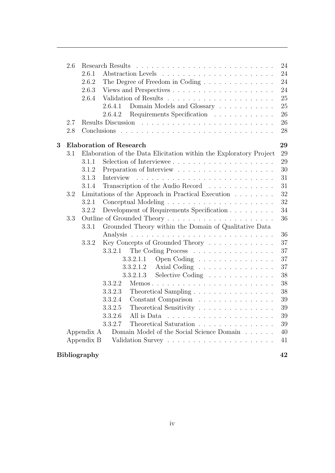|   | 2.6 |                     | 24                                                                       |
|---|-----|---------------------|--------------------------------------------------------------------------|
|   |     | 2.6.1               | 24                                                                       |
|   |     | 2.6.2               | 24<br>The Degree of Freedom in Coding                                    |
|   |     | 2.6.3               | 24                                                                       |
|   |     | 2.6.4               | 25                                                                       |
|   |     |                     | 25<br>Domain Models and Glossary<br>2.6.4.1                              |
|   |     |                     | 26<br>Requirements Specification<br>2.6.4.2                              |
|   | 2.7 |                     | 26                                                                       |
|   | 2.8 |                     | 28                                                                       |
| 3 |     |                     | <b>Elaboration of Research</b><br>29                                     |
|   | 3.1 |                     | Elaboration of the Data Elicitation within the Exploratory Project<br>29 |
|   |     | 3.1.1               | Selection of Interviewee<br>29                                           |
|   |     | 3.1.2               | 30                                                                       |
|   |     | 3.1.3               | 31<br>Interview                                                          |
|   |     | 3.1.4               | Transcription of the Audio Record<br>31                                  |
|   | 3.2 |                     | 32<br>Limitations of the Approach in Practical Execution                 |
|   |     | 3.2.1               | 32                                                                       |
|   |     | 3.2.2               | Development of Requirements Specification<br>34                          |
|   | 3.3 |                     | 36                                                                       |
|   |     | 3.3.1               | Grounded Theory within the Domain of Qualitative Data                    |
|   |     |                     | 36                                                                       |
|   |     | 3.3.2               | Key Concepts of Grounded Theory<br>37                                    |
|   |     |                     | 37<br>3.3.2.1<br>The Coding Process                                      |
|   |     |                     | 37<br>Open Coding<br>3.3.2.1.1                                           |
|   |     |                     | 37<br>Axial Coding<br>3.3.2.1.2                                          |
|   |     |                     | Selective Coding<br>38<br>3.3.2.1.3                                      |
|   |     |                     | 38<br>3.3.2.2<br>Memos                                                   |
|   |     |                     | 38<br>3.3.2.3                                                            |
|   |     |                     | 39<br>Constant Comparison<br>3.3.2.4                                     |
|   |     |                     | 3.3.2.5<br>Theoretical Sensitivity<br>39                                 |
|   |     |                     | 39<br>3.3.2.6<br>All is Data                                             |
|   |     |                     | 3.3.2.7<br>Theoretical Saturation<br>39                                  |
|   |     | Appendix A          | Domain Model of the Social Science Domain<br>40                          |
|   |     | Appendix B          | 41                                                                       |
|   |     | <b>Bibliography</b> | 42                                                                       |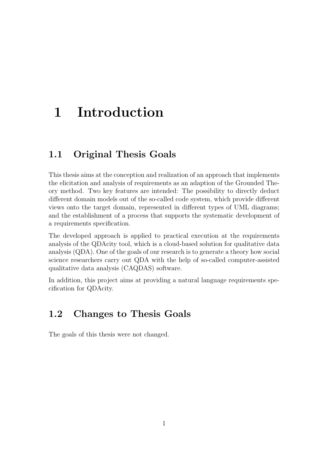# <span id="page-5-0"></span>1 Introduction

## <span id="page-5-1"></span>1.1 Original Thesis Goals

This thesis aims at the conception and realization of an approach that implements the elicitation and analysis of requirements as an adaption of the Grounded Theory method. Two key features are intended: The possibility to directly deduct different domain models out of the so-called code system, which provide different views onto the target domain, represented in different types of UML diagrams; and the establishment of a process that supports the systematic development of a requirements specification.

The developed approach is applied to practical execution at the requirements analysis of the QDAcity tool, which is a cloud-based solution for qualitative data analysis (QDA). One of the goals of our research is to generate a theory how social science researchers carry out QDA with the help of so-called computer-assisted qualitative data analysis (CAQDAS) software.

<span id="page-5-2"></span>In addition, this project aims at providing a natural language requirements specification for QDAcity.

# 1.2 Changes to Thesis Goals

The goals of this thesis were not changed.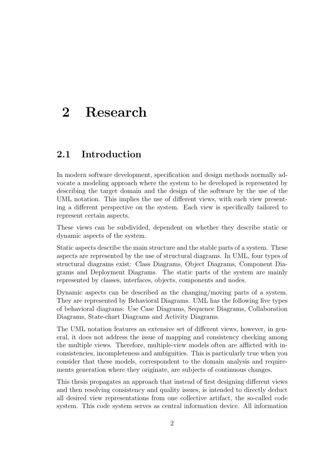# <span id="page-6-0"></span>2 Research

# <span id="page-6-1"></span>2.1 Introduction

In modern software development, specification and design methods normally advocate a modeling approach where the system to be developed is represented by describing the target domain and the design of the software by the use of the UML notation. This implies the use of different views, with each view presenting a different perspective on the system. Each view is specifically tailored to represent certain aspects.

These views can be subdivided, dependent on whether they describe static or dynamic aspects of the system.

Static aspects describe the main structure and the stable parts of a system. These aspects are represented by the use of structural diagrams. In UML, four types of structural diagrams exist: Class Diagrams, Object Diagrams, Component Diagrams and Deployment Diagrams. The static parts of the system are mainly represented by classes, interfaces, objects, components and nodes.

Dynamic aspects can be described as the changing/moving parts of a system. They are represented by Behavioral Diagrams. UML has the following five types of behavioral diagrams: Use Case Diagrams, Sequence Diagrams, Collaboration Diagrams, State-chart Diagrams and Activity Diagrams.

The UML notation features an extensive set of different views, however, in general, it does not address the issue of mapping and consistency checking among the multiple views. Therefore, multiple-view models often are afflicted with inconsistencies, incompleteness and ambiguities. This is particularly true when you consider that these models, correspondent to the domain analysis and requirements generation where they originate, are subjects of continuous changes.

This thesis propagates an approach that instead of first designing different views and then resolving consistency and quality issues, is intended to directly deduct all desired view representations from one collective artifact, the so-called code system. This code system serves as central information device. All information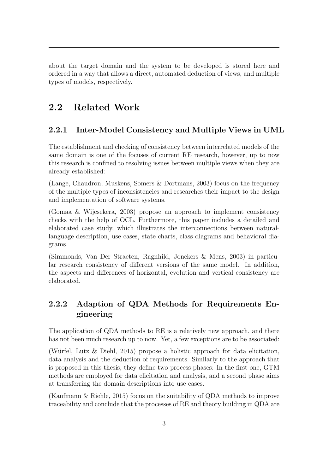about the target domain and the system to be developed is stored here and ordered in a way that allows a direct, automated deduction of views, and multiple types of models, respectively.

# <span id="page-7-0"></span>2.2 Related Work

### <span id="page-7-1"></span>2.2.1 Inter-Model Consistency and Multiple Views in UML

The establishment and checking of consistency between interrelated models of the same domain is one of the focuses of current RE research, however, up to now this research is confined to resolving issues between multiple views when they are already established:

[\(Lange, Chaudron, Muskens, Somers & Dortmans, 2003\)](#page-46-1) focus on the frequency of the multiple types of inconsistencies and researches their impact to the design and implementation of software systems.

[\(Gomaa & Wijesekera, 2003\)](#page-46-2) propose an approach to implement consistency checks with the help of OCL. Furthermore, this paper includes a detailed and elaborated case study, which illustrates the interconnections between naturallanguage description, use cases, state charts, class diagrams and behavioral diagrams.

[\(Simmonds, Van Der Straeten, Ragnhild, Jonckers & Mens, 2003\)](#page-46-3) in particular research consistency of different versions of the same model. In addition, the aspects and differences of horizontal, evolution and vertical consistency are elaborated.

## <span id="page-7-2"></span>2.2.2 Adaption of QDA Methods for Requirements Engineering

The application of QDA methods to RE is a relatively new approach, and there has not been much research up to now. Yet, a few exceptions are to be associated:

(Würfel, Lutz  $\&$  Diehl, 2015) propose a holistic approach for data elicitation, data analysis and the deduction of requirements. Similarly to the approach that is proposed in this thesis, they define two process phases: In the first one, GTM methods are employed for data elicitation and analysis, and a second phase aims at transferring the domain descriptions into use cases.

[\(Kaufmann & Riehle, 2015\)](#page-46-5) focus on the suitability of QDA methods to improve traceability and conclude that the processes of RE and theory building in QDA are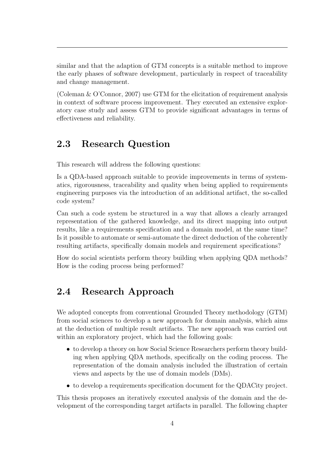similar and that the adaption of GTM concepts is a suitable method to improve the early phases of software development, particularly in respect of traceability and change management.

[\(Coleman & O'Connor, 2007\)](#page-46-6) use GTM for the elicitation of requirement analysis in context of software process improvement. They executed an extensive exploratory case study and assess GTM to provide significant advantages in terms of effectiveness and reliability.

## <span id="page-8-0"></span>2.3 Research Question

This research will address the following questions:

Is a QDA-based approach suitable to provide improvements in terms of systematics, rigorousness, traceability and quality when being applied to requirements engineering purposes via the introduction of an additional artifact, the so-called code system?

Can such a code system be structured in a way that allows a clearly arranged representation of the gathered knowledge, and its direct mapping into output results, like a requirements specification and a domain model, at the same time? Is it possible to automate or semi-automate the direct deduction of the coherently resulting artifacts, specifically domain models and requirement specifications?

<span id="page-8-1"></span>How do social scientists perform theory building when applying QDA methods? How is the coding process being performed?

## 2.4 Research Approach

We adopted concepts from conventional Grounded Theory methodology (GTM) from social sciences to develop a new approach for domain analysis, which aims at the deduction of multiple result artifacts. The new approach was carried out within an exploratory project, which had the following goals:

- to develop a theory on how Social Science Researchers perform theory building when applying QDA methods, specifically on the coding process. The representation of the domain analysis included the illustration of certain views and aspects by the use of domain models (DMs).
- to develop a requirements specification document for the QDACity project.

This thesis proposes an iteratively executed analysis of the domain and the development of the corresponding target artifacts in parallel. The following chapter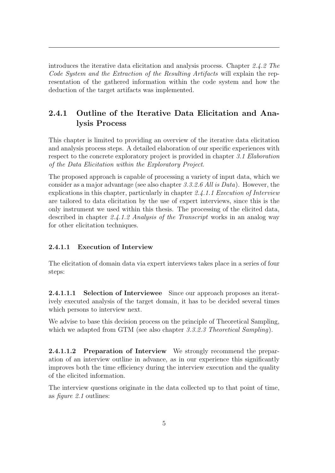introduces the iterative data elicitation and analysis process. Chapter [2.4.2](#page-12-1) The Code System and the Extraction of the Resulting Artifacts will explain the representation of the gathered information within the code system and how the deduction of the target artifacts was implemented.

## <span id="page-9-0"></span>2.4.1 Outline of the Iterative Data Elicitation and Analysis Process

This chapter is limited to providing an overview of the iterative data elicitation and analysis process steps. A detailed elaboration of our specific experiences with respect to the concrete exploratory project is provided in chapter [3.1](#page-33-1) Elaboration of the Data Elicitation within the Exploratory Project.

The proposed approach is capable of processing a variety of input data, which we consider as a major advantage (see also chapter [3.3.2.6](#page-43-1) All is Data). However, the explications in this chapter, particularly in chapter [2.4.1.1](#page-9-1) Execution of Interview are tailored to data elicitation by the use of expert interviews, since this is the only instrument we used within this thesis. The processing of the elicited data, described in chapter [2.4.1.2](#page-11-1) Analysis of the Transcript works in an analog way for other elicitation techniques.

#### <span id="page-9-1"></span>2.4.1.1 Execution of Interview

<span id="page-9-2"></span>The elicitation of domain data via expert interviews takes place in a series of four steps:

2.4.1.1.1 Selection of Interviewee Since our approach proposes an iteratively executed analysis of the target domain, it has to be decided several times which persons to interview next.

We advise to base this decision process on the principle of Theoretical Sampling, which we adapted from GTM (see also chapter [3.3.2.3](#page-42-2) Theoretical Sampling).

<span id="page-9-3"></span>2.4.1.1.2 Preparation of Interview We strongly recommend the preparation of an interview outline in advance, as in our experience this significantly improves both the time efficiency during the interview execution and the quality of the elicited information.

The interview questions originate in the data collected up to that point of time, as figure [2.1](#page-10-1) outlines: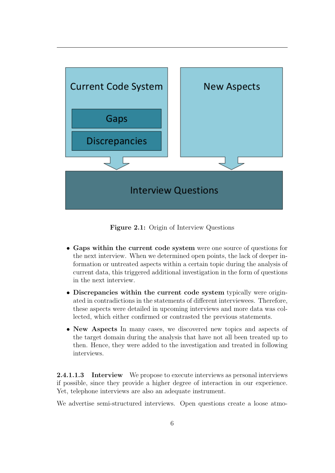<span id="page-10-1"></span>

Figure 2.1: Origin of Interview Questions

- Gaps within the current code system were one source of questions for the next interview. When we determined open points, the lack of deeper information or untreated aspects within a certain topic during the analysis of current data, this triggered additional investigation in the form of questions in the next interview.
- Discrepancies within the current code system typically were originated in contradictions in the statements of different interviewees. Therefore, these aspects were detailed in upcoming interviews and more data was collected, which either confirmed or contrasted the previous statements.
- New Aspects In many cases, we discovered new topics and aspects of the target domain during the analysis that have not all been treated up to then. Hence, they were added to the investigation and treated in following interviews.

<span id="page-10-0"></span>2.4.1.1.3 Interview We propose to execute interviews as personal interviews if possible, since they provide a higher degree of interaction in our experience. Yet, telephone interviews are also an adequate instrument.

We advertise semi-structured interviews. Open questions create a loose atmo-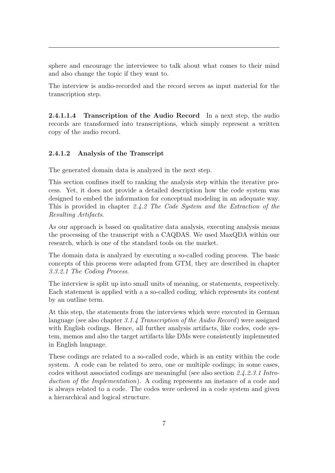sphere and encourage the interviewee to talk about what comes to their mind and also change the topic if they want to.

The interview is audio-recorded and the record serves as input material for the transcription step.

<span id="page-11-0"></span>2.4.1.1.4 Transcription of the Audio Record In a next step, the audio records are transformed into transcriptions, which simply represent a written copy of the audio record.

#### <span id="page-11-1"></span>2.4.1.2 Analysis of the Transcript

The generated domain data is analyzed in the next step.

This section confines itself to ranking the analysis step within the iterative process. Yet, it does not provide a detailed description how the code system was designed to embed the information for conceptual modeling in an adequate way. This is provided in chapter [2.4.2](#page-12-1) The Code System and the Extraction of the Resulting Artifacts.

As our approach is based on qualitative data analysis, executing analysis means the processing of the transcript with a CAQDAS. We used MaxQDA within our research, which is one of the standard tools on the market.

The domain data is analyzed by executing a so-called coding process. The basic concepts of this process were adapted from GTM, they are described in chapter [3.3.2.1](#page-41-1) The Coding Process.

The interview is split up into small units of meaning, or statements, respectively. Each statement is applied with a a so-called coding, which represents its content by an outline term.

At this step, the statements from the interviews which were executed in German language (see also chapter [3.1.4](#page-35-1) Transcription of the Audio Record) were assigned with English codings. Hence, all further analysis artifacts, like codes, code system, memos and also the target artifacts like DMs were consistently implemented in English language.

These codings are related to a so-called code, which is an entity within the code system. A code can be related to zero, one or multiple codings; in some cases, codes without associated codings are meaningful (see also section [2.4.2.3.1](#page-22-1) Introduction of the Implementation). A coding represents an instance of a code and is always related to a code. The codes were ordered in a code system and given a hierarchical and logical structure.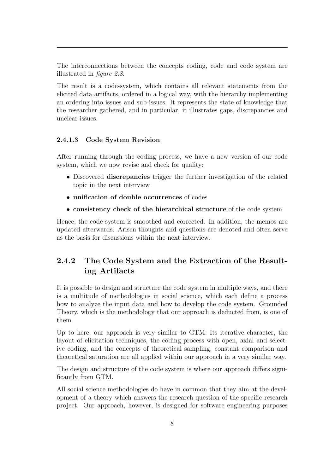The interconnections between the concepts coding, code and code system are illustrated in figure [2.8](#page-24-0).

The result is a code-system, which contains all relevant statements from the elicited data artifacts, ordered in a logical way, with the hierarchy implementing an ordering into issues and sub-issues. It represents the state of knowledge that the researcher gathered, and in particular, it illustrates gaps, discrepancies and unclear issues.

#### <span id="page-12-0"></span>2.4.1.3 Code System Revision

After running through the coding process, we have a new version of our code system, which we now revise and check for quality:

- Discovered **discrepancies** trigger the further investigation of the related topic in the next interview
- unification of double occurrences of codes
- consistency check of the hierarchical structure of the code system

Hence, the code system is smoothed and corrected. In addition, the memos are updated afterwards. Arisen thoughts and questions are denoted and often serve as the basis for discussions within the next interview.

## <span id="page-12-1"></span>2.4.2 The Code System and the Extraction of the Resulting Artifacts

It is possible to design and structure the code system in multiple ways, and there is a multitude of methodologies in social science, which each define a process how to analyze the input data and how to develop the code system. Grounded Theory, which is the methodology that our approach is deducted from, is one of them.

Up to here, our approach is very similar to GTM: Its iterative character, the layout of elicitation techniques, the coding process with open, axial and selective coding, and the concepts of theoretical sampling, constant comparison and theoretical saturation are all applied within our approach in a very similar way.

The design and structure of the code system is where our approach differs significantly from GTM.

All social science methodologies do have in common that they aim at the development of a theory which answers the research question of the specific research project. Our approach, however, is designed for software engineering purposes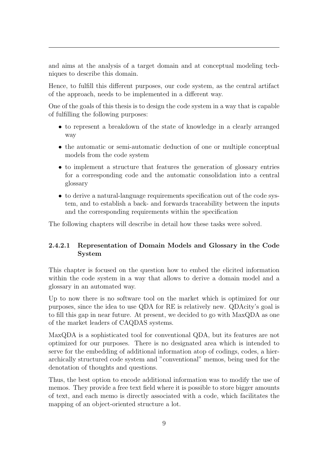and aims at the analysis of a target domain and at conceptual modeling techniques to describe this domain.

Hence, to fulfill this different purposes, our code system, as the central artifact of the approach, needs to be implemented in a different way.

One of the goals of this thesis is to design the code system in a way that is capable of fulfilling the following purposes:

- to represent a breakdown of the state of knowledge in a clearly arranged way
- the automatic or semi-automatic deduction of one or multiple conceptual models from the code system
- to implement a structure that features the generation of glossary entries for a corresponding code and the automatic consolidation into a central glossary
- to derive a natural-language requirements specification out of the code system, and to establish a back- and forwards traceability between the inputs and the corresponding requirements within the specification

<span id="page-13-0"></span>The following chapters will describe in detail how these tasks were solved.

#### 2.4.2.1 Representation of Domain Models and Glossary in the Code System

This chapter is focused on the question how to embed the elicited information within the code system in a way that allows to derive a domain model and a glossary in an automated way.

Up to now there is no software tool on the market which is optimized for our purposes, since the idea to use QDA for RE is relatively new. QDAcity's goal is to fill this gap in near future. At present, we decided to go with MaxQDA as one of the market leaders of CAQDAS systems.

MaxQDA is a sophisticated tool for conventional QDA, but its features are not optimized for our purposes. There is no designated area which is intended to serve for the embedding of additional information atop of codings, codes, a hierarchically structured code system and "conventional" memos, being used for the denotation of thoughts and questions.

Thus, the best option to encode additional information was to modify the use of memos. They provide a free text field where it is possible to store bigger amounts of text, and each memo is directly associated with a code, which facilitates the mapping of an object-oriented structure a lot.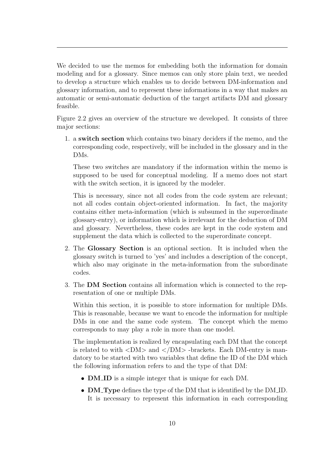We decided to use the memos for embedding both the information for domain modeling and for a glossary. Since memos can only store plain text, we needed to develop a structure which enables us to decide between DM-information and glossary information, and to represent these informations in a way that makes an automatic or semi-automatic deduction of the target artifacts DM and glossary feasible.

Figure [2.2](#page-15-0) gives an overview of the structure we developed. It consists of three major sections:

1. a switch section which contains two binary deciders if the memo, and the corresponding code, respectively, will be included in the glossary and in the DMs.

These two switches are mandatory if the information within the memo is supposed to be used for conceptual modeling. If a memo does not start with the switch section, it is ignored by the modeler.

This is necessary, since not all codes from the code system are relevant; not all codes contain object-oriented information. In fact, the majority contains either meta-information (which is subsumed in the superordinate glossary-entry), or information which is irrelevant for the deduction of DM and glossary. Nevertheless, these codes are kept in the code system and supplement the data which is collected to the superordinate concept.

- 2. The Glossary Section is an optional section. It is included when the glossary switch is turned to 'yes' and includes a description of the concept, which also may originate in the meta-information from the subordinate codes.
- 3. The DM Section contains all information which is connected to the representation of one or multiple DMs.

Within this section, it is possible to store information for multiple DMs. This is reasonable, because we want to encode the information for multiple DMs in one and the same code system. The concept which the memo corresponds to may play a role in more than one model.

The implementation is realized by encapsulating each DM that the concept is related to with  $\langle DM \rangle$  and  $\langle DM \rangle$ -brackets. Each DM-entry is mandatory to be started with two variables that define the ID of the DM which the following information refers to and the type of that DM:

- **DM\_ID** is a simple integer that is unique for each DM.
- **DM\_Type** defines the type of the DM that is identified by the DM\_ID. It is necessary to represent this information in each corresponding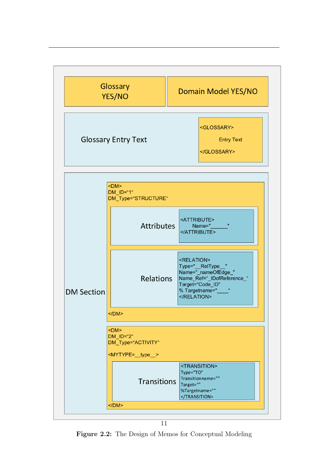<span id="page-15-0"></span>

Figure 2.2: The Design of Memos for Conceptual Modeling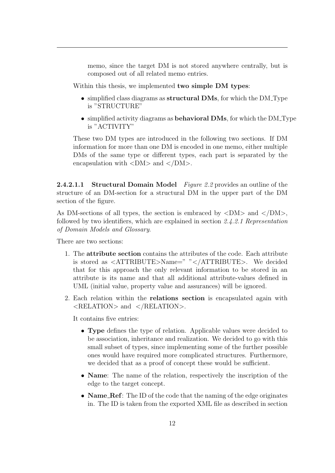memo, since the target DM is not stored anywhere centrally, but is composed out of all related memo entries.

Within this thesis, we implemented **two simple DM types**:

- simplified class diagrams as **structural DMs**, for which the DM\_Type is "STRUCTURE"
- simplified activity diagrams as **behavioral DMs**, for which the DM\_Type is "ACTIVITY"

These two DM types are introduced in the following two sections. If DM information for more than one DM is encoded in one memo, either multiple DMs of the same type or different types, each part is separated by the encapsulation with  $\langle DM \rangle$  and  $\langle DM \rangle$ .

<span id="page-16-0"></span>**2.4.2.1.1 Structural Domain Model** Figure [2.2](#page-15-0) provides an outline of the structure of an DM-section for a structural DM in the upper part of the DM section of the figure.

As DM-sections of all types, the section is embraced by  $\langle DM \rangle$  and  $\langle DM \rangle$ , followed by two identifiers, which are explained in section [2.4.2.1](#page-13-0) Representation of Domain Models and Glossary.

There are two sections:

- 1. The attribute section contains the attributes of the code. Each attribute is stored as <ATTRIBUTE>Name=" "</ATTRIBUTE>. We decided that for this approach the only relevant information to be stored in an attribute is its name and that all additional attribute-values defined in UML (initial value, property value and assurances) will be ignored.
- 2. Each relation within the relations section is encapsulated again with <RELATION> and </RELATION>.

It contains five entries:

- Type defines the type of relation. Applicable values were decided to be association, inheritance and realization. We decided to go with this small subset of types, since implementing some of the further possible ones would have required more complicated structures. Furthermore, we decided that as a proof of concept these would be sufficient.
- Name: The name of the relation, respectively the inscription of the edge to the target concept.
- Name\_Ref: The ID of the code that the naming of the edge originates in. The ID is taken from the exported XML file as described in section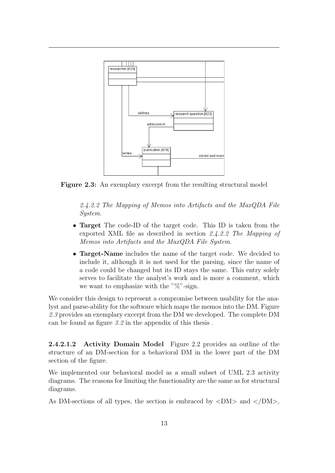<span id="page-17-1"></span>

Figure 2.3: An exemplary excerpt from the resulting structural model

[2.4.2.2](#page-20-0) The Mapping of Memos into Artifacts and the MaxQDA File System.

- **Target** The code-ID of the target code. This ID is taken from the exported XML file as described in section [2.4.2.2](#page-20-0) The Mapping of Memos into Artifacts and the MaxQDA File System.
- Target-Name includes the name of the target code. We decided to include it, although it is not used for the parsing, since the name of a code could be changed but its ID stays the same. This entry solely serves to facilitate the analyst's work and is more a comment, which we want to emphasize with the " $\%$ "-sign.

We consider this design to represent a compromise between usability for the analyst and parse-ability for the software which maps the memos into the DM. Figure [2.3](#page-17-1) provides an exemplary excerpt from the DM we developed. The complete DM can be found as figure [3.2](#page-44-1) in the appendix of this thesis .

<span id="page-17-0"></span>2.4.2.1.2 Activity Domain Model Figure [2.2](#page-15-0) provides an outline of the structure of an DM-section for a behavioral DM in the lower part of the DM section of the figure.

We implemented our behavioral model as a small subset of UML 2.3 activity diagrams. The reasons for limiting the functionality are the same as for structural diagrams.

As DM-sections of all types, the section is embraced by  $\langle DM \rangle$  and  $\langle DM \rangle$ ,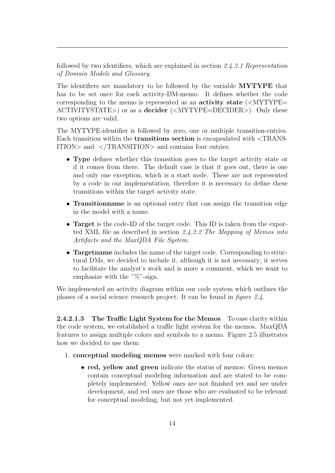followed by two identifiers, which are explained in section [2.4.2.1](#page-13-0) Representation of Domain Models and Glossary.

The identifiers are mandatory to be followed by the variable MYTYPE that has to be set once for each activity-DM-memo. It defines whether the code corresponding to the memo is represented as an **activity state**  $\langle \langle \text{MYType} \rangle$ ACTIVITYSTATE>) or as a decider (<MYTYPE=DECIDER>). Only these two options are valid.

The MYTYPE-identifier is followed by zero, one or multiple transition-entries. Each transition within the transitions section is encapsulated with <TRANS-ITION> and </TRANSITION> and contains four entries:

- Type defines whether this transition goes to the target activity state or if it comes from there. The default case is that it goes out, there is one and only one exception, which is a start node. These are not represented by a code in our implementation, therefore it is necessary to define these transitions within the target activity state.
- Transitionname is an optional entry that can assign the transition edge in the model with a name.
- **Target** is the code-ID of the target code. This ID is taken from the exported XML file as described in section [2.4.2.2](#page-20-0) The Mapping of Memos into Artifacts and the MaxQDA File System.
- Targetname includes the name of the target code. Corresponding to structural DMs, we decided to include it, although it is not necessary; it serves to facilitate the analyst's work and is more a comment, which we want to emphasize with the " $\%$ "-sign.

<span id="page-18-0"></span>We implemented an activity diagram within our code system which outlines the phases of a social science research project. It can be found in figure [2.4](#page-19-0).

2.4.2.1.3 The Traffic Light System for the Memos To ease clarity within the code system, we established a traffic light system for the memos. MaxQDA features to assign multiple colors and symbols to a memo. Figure [2.5](#page-20-1) illustrates how we decided to use them:

- 1. conceptual modeling memos were marked with four colors:
	- red, yellow and green indicate the status of memos: Green memos contain conceptual modeling information and are stated to be completely implemented. Yellow ones are not finished yet and are under development, and red ones are those who are evaluated to be relevant for conceptual modeling, but not yet implemented.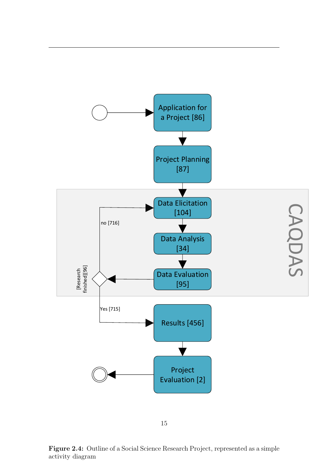<span id="page-19-0"></span>

Figure 2.4: Outline of a Social Science Research Project, represented as a simple activity diagram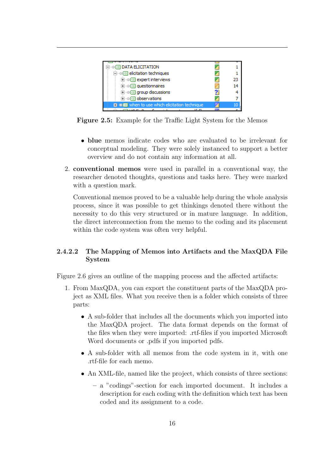<span id="page-20-1"></span>

| $\exists \neg \textcircled{\textcircled{\textcirc}}$ data elicitation         |    |
|-------------------------------------------------------------------------------|----|
|                                                                               |    |
| $\Box$ $\textcircled{=}$ expert interviews                                    | 23 |
| $\Box$ $\circ$ $\circ$ questionnaires                                         | 14 |
| $\mathbf{F} \cdot \mathbf{F} = \mathbf{F} \cdot \mathbf{F}$ aroup discussions |    |
| i e c observations                                                            |    |
| <b>■ ■ ■</b> when to use which elicitation technique                          |    |
|                                                                               |    |

Figure 2.5: Example for the Traffic Light System for the Memos

- blue memos indicate codes who are evaluated to be irrelevant for conceptual modeling. They were solely instanced to support a better overview and do not contain any information at all.
- 2. conventional memos were used in parallel in a conventional way, the researcher denoted thoughts, questions and tasks here. They were marked with a question mark.

Conventional memos proved to be a valuable help during the whole analysis process, since it was possible to get thinkings denoted there without the necessity to do this very structured or in mature language. In addition, the direct interconnection from the memo to the coding and its placement within the code system was often very helpful.

#### <span id="page-20-0"></span>2.4.2.2 The Mapping of Memos into Artifacts and the MaxQDA File System

Figure [2.6](#page-21-0) gives an outline of the mapping process and the affected artifacts:

- 1. From MaxQDA, you can export the constituent parts of the MaxQDA project as XML files. What you receive then is a folder which consists of three parts:
	- A sub-folder that includes all the documents which you imported into the MaxQDA project. The data format depends on the format of the files when they were imported: .rtf-files if you imported Microsoft Word documents or .pdfs if you imported pdfs.
	- A sub-folder with all memos from the code system in it, with one .rtf-file for each memo.
	- An XML-file, named like the project, which consists of three sections:
		- a "codings"-section for each imported document. It includes a description for each coding with the definition which text has been coded and its assignment to a code.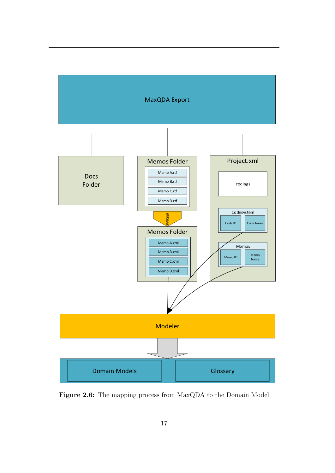<span id="page-21-0"></span>

Figure 2.6: The mapping process from MaxQDA to the Domain Model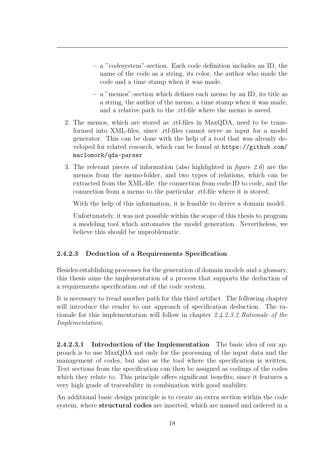- a "codesystem"-section. Each code definition includes an ID, the name of the code as a string, its color, the author who made the code and a time stamp when it was made.
- a "memos"-section which defines each memo by an ID, its title as a string, the author of the memo, a time stamp when it was made, and a relative path to the .rtf-file where the memo is saved.
- 2. The memos, which are stored as .rtf-files in MaxQDA, need to be transformed into XML-files, since .rtf-files cannot serve as input for a model generator. This can be done with the help of a tool that was already developed for related research, which can be found at [https://github.com/](https://github.com/maclomork/qda-parser) [maclomork/qda-parser](https://github.com/maclomork/qda-parser)
- 3. The relevant pieces of information (also highlighted in *figure [2.6](#page-21-0)*) are the memos from the memo-folder, and two types of relations, which can be extracted from the XML-file: the connection from code-ID to code, and the connection from a memo to the particular .rtf-file where it is stored.

With the help of this information, it is feasible to derive a domain model.

Unfortunately, it was not possible within the scope of this thesis to program a modeling tool which automates the model generation. Nevertheless, we believe this should be unproblematic.

#### <span id="page-22-0"></span>2.4.2.3 Deduction of a Requirements Specification

Besides establishing processes for the generation of domain models and a glossary, this thesis aims the implementation of a process that supports the deduction of a requirements specification out of the code system.

It is necessary to tread another path for this third artifact. The following chapter will introduce the reader to our approach of specification deduction. The rationale for this implementation will follow in chapter [2.4.2.3.2](#page-25-0) Rationale of the Implementation.

<span id="page-22-1"></span>2.4.2.3.1 Introduction of the Implementation The basic idea of our approach is to use MaxQDA not only for the processing of the input data and the management of codes, but also as the tool where the specification is written. Text sections from the specification can then be assigned as codings of the codes which they relate to. This principle offers significant benefits, since it features a very high grade of traceability in combination with good usability.

An additional basic design principle is to create an extra section within the code system, where **structural codes** are inserted, which are named and ordered in a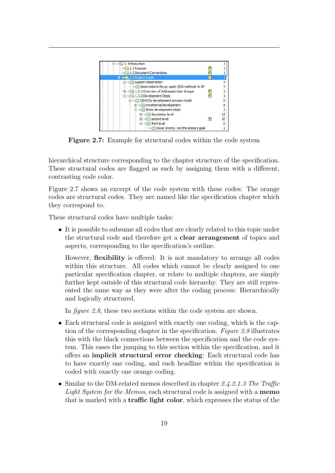<span id="page-23-0"></span>

Figure 2.7: Example for structural codes within the code system

hierarchical structure corresponding to the chapter structure of the specification. These structural codes are flagged as such by assigning them with a different, contrasting code color.

Figure [2.7](#page-23-0) shows an excerpt of the code system with these codes: The orange codes are structural codes. They are named like the specification chapter which they correspond to.

These structural codes have multiple tasks:

• It is possible to subsume all codes that are clearly related to this topic under the structural code and therefore get a clear arrangement of topics and aspects, corresponding to the specification's outline.

However, flexibility is offered: It is not mandatory to arrange all codes within this structure. All codes which cannot be clearly assigned to one particular specification chapter, or relate to multiple chapters, are simply further kept outside of this structural code hierarchy. They are still represented the same way as they were after the coding process: Hierarchically and logically structured.

In *figure [2.8](#page-24-0)*, these two sections within the code system are shown.

- Each structural code is assigned with exactly one coding, which is the caption of the corresponding chapter in the specification. Figure [2.8](#page-24-0) illustrates this with the black connections between the specification and the code system. This eases the jumping to this section within the specification, and it offers an implicit structural error checking: Each structural code has to have exactly one coding, and each headline within the specification is coded with exactly one orange coding.
- Similar to the DM-related memos described in chapter [2.4.2.1.3](#page-18-0) The Traffic Light System for the Memos, each structural code is assigned with a **memo** that is marked with a traffic light color, which expresses the status of the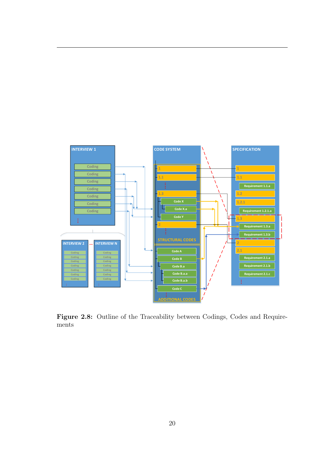<span id="page-24-0"></span>

Figure 2.8: Outline of the Traceability between Codings, Codes and Requirements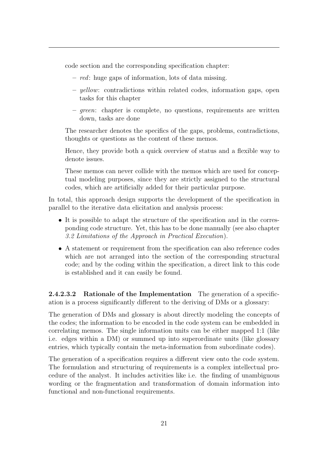code section and the corresponding specification chapter:

- red: huge gaps of information, lots of data missing.
- $-$  yellow: contradictions within related codes, information gaps, open tasks for this chapter
- $-$  green: chapter is complete, no questions, requirements are written down, tasks are done

The researcher denotes the specifics of the gaps, problems, contradictions, thoughts or questions as the content of these memos.

Hence, they provide both a quick overview of status and a flexible way to denote issues.

These memos can never collide with the memos which are used for conceptual modeling purposes, since they are strictly assigned to the structural codes, which are artificially added for their particular purpose.

In total, this approach design supports the development of the specification in parallel to the iterative data elicitation and analysis process:

- It is possible to adapt the structure of the specification and in the corresponding code structure. Yet, this has to be done manually (see also chapter [3.2](#page-36-0) Limitations of the Approach in Practical Execution).
- A statement or requirement from the specification can also reference codes which are not arranged into the section of the corresponding structural code; and by the coding within the specification, a direct link to this code is established and it can easily be found.

<span id="page-25-0"></span>2.4.2.3.2 Rationale of the Implementation The generation of a specification is a process significantly different to the deriving of DMs or a glossary:

The generation of DMs and glossary is about directly modeling the concepts of the codes; the information to be encoded in the code system can be embedded in correlating memos. The single information units can be either mapped 1:1 (like i.e. edges within a DM) or summed up into superordinate units (like glossary entries, which typically contain the meta-information from subordinate codes).

The generation of a specification requires a different view onto the code system. The formulation and structuring of requirements is a complex intellectual procedure of the analyst. It includes activities like i.e. the finding of unambiguous wording or the fragmentation and transformation of domain information into functional and non-functional requirements.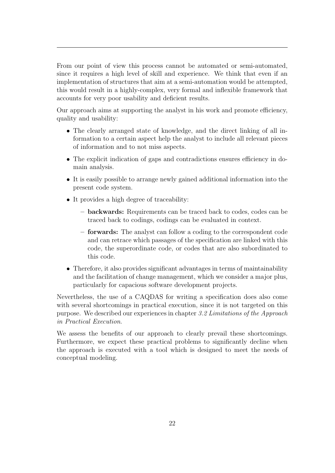From our point of view this process cannot be automated or semi-automated, since it requires a high level of skill and experience. We think that even if an implementation of structures that aim at a semi-automation would be attempted, this would result in a highly-complex, very formal and inflexible framework that accounts for very poor usability and deficient results.

Our approach aims at supporting the analyst in his work and promote efficiency, quality and usability:

- The clearly arranged state of knowledge, and the direct linking of all information to a certain aspect help the analyst to include all relevant pieces of information and to not miss aspects.
- The explicit indication of gaps and contradictions ensures efficiency in domain analysis.
- It is easily possible to arrange newly gained additional information into the present code system.
- It provides a high degree of traceability:
	- backwards: Requirements can be traced back to codes, codes can be traced back to codings, codings can be evaluated in context.
	- forwards: The analyst can follow a coding to the correspondent code and can retrace which passages of the specification are linked with this code, the superordinate code, or codes that are also subordinated to this code.
- Therefore, it also provides significant advantages in terms of maintainability and the facilitation of change management, which we consider a major plus, particularly for capacious software development projects.

Nevertheless, the use of a CAQDAS for writing a specification does also come with several shortcomings in practical execution, since it is not targeted on this purpose. We described our experiences in chapter [3.2](#page-36-0) Limitations of the Approach in Practical Execution.

<span id="page-26-0"></span>We assess the benefits of our approach to clearly prevail these shortcomings. Furthermore, we expect these practical problems to significantly decline when the approach is executed with a tool which is designed to meet the needs of conceptual modeling.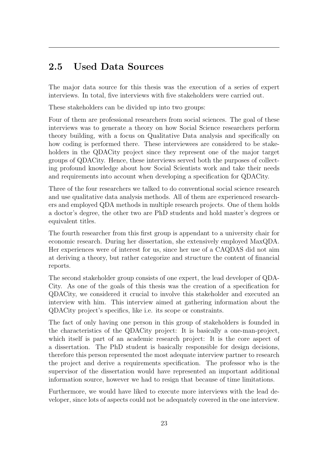## 2.5 Used Data Sources

The major data source for this thesis was the execution of a series of expert interviews. In total, five interviews with five stakeholders were carried out.

These stakeholders can be divided up into two groups:

Four of them are professional researchers from social sciences. The goal of these interviews was to generate a theory on how Social Science researchers perform theory building, with a focus on Qualitative Data analysis and specifically on how coding is performed there. These interviewees are considered to be stakeholders in the QDACity project since they represent one of the major target groups of QDACity. Hence, these interviews served both the purposes of collecting profound knowledge about how Social Scientists work and take their needs and requirements into account when developing a specification for QDACity.

Three of the four researchers we talked to do conventional social science research and use qualitative data analysis methods. All of them are experienced researchers and employed QDA methods in multiple research projects. One of them holds a doctor's degree, the other two are PhD students and hold master's degrees or equivalent titles.

The fourth researcher from this first group is appendant to a university chair for economic research. During her dissertation, she extensively employed MaxQDA. Her experiences were of interest for us, since her use of a CAQDAS did not aim at deriving a theory, but rather categorize and structure the content of financial reports.

The second stakeholder group consists of one expert, the lead developer of QDA-City. As one of the goals of this thesis was the creation of a specification for QDACity, we considered it crucial to involve this stakeholder and executed an interview with him. This interview aimed at gathering information about the QDACity project's specifics, like i.e. its scope or constraints.

The fact of only having one person in this group of stakeholders is founded in the characteristics of the QDACity project: It is basically a one-man-project, which itself is part of an academic research project: It is the core aspect of a dissertation. The PhD student is basically responsible for design decisions, therefore this person represented the most adequate interview partner to research the project and derive a requirements specification. The professor who is the supervisor of the dissertation would have represented an important additional information source, however we had to resign that because of time limitations.

Furthermore, we would have liked to execute more interviews with the lead developer, since lots of aspects could not be adequately covered in the one interview.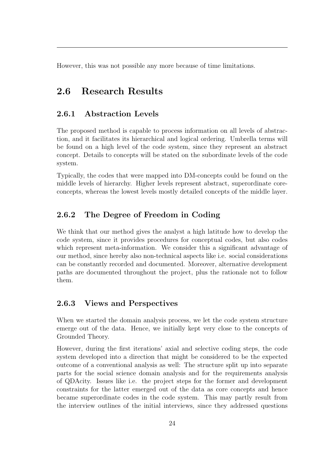<span id="page-28-0"></span>However, this was not possible any more because of time limitations.

# 2.6 Research Results

### <span id="page-28-1"></span>2.6.1 Abstraction Levels

The proposed method is capable to process information on all levels of abstraction, and it facilitates its hierarchical and logical ordering. Umbrella terms will be found on a high level of the code system, since they represent an abstract concept. Details to concepts will be stated on the subordinate levels of the code system.

Typically, the codes that were mapped into DM-concepts could be found on the middle levels of hierarchy. Higher levels represent abstract, superordinate coreconcepts, whereas the lowest levels mostly detailed concepts of the middle layer.

### <span id="page-28-2"></span>2.6.2 The Degree of Freedom in Coding

We think that our method gives the analyst a high latitude how to develop the code system, since it provides procedures for conceptual codes, but also codes which represent meta-information. We consider this a significant advantage of our method, since hereby also non-technical aspects like i.e. social considerations can be constantly recorded and documented. Moreover, alternative development paths are documented throughout the project, plus the rationale not to follow them.

### <span id="page-28-3"></span>2.6.3 Views and Perspectives

When we started the domain analysis process, we let the code system structure emerge out of the data. Hence, we initially kept very close to the concepts of Grounded Theory.

However, during the first iterations' axial and selective coding steps, the code system developed into a direction that might be considered to be the expected outcome of a conventional analysis as well: The structure split up into separate parts for the social science domain analysis and for the requirements analysis of QDAcity. Issues like i.e. the project steps for the former and development constraints for the latter emerged out of the data as core concepts and hence became superordinate codes in the code system. This may partly result from the interview outlines of the initial interviews, since they addressed questions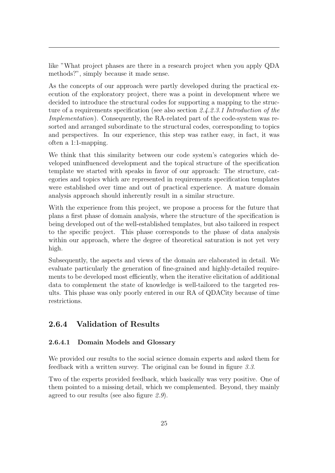like "What project phases are there in a research project when you apply QDA methods?", simply because it made sense.

As the concepts of our approach were partly developed during the practical execution of the exploratory project, there was a point in development where we decided to introduce the structural codes for supporting a mapping to the structure of a requirements specification (see also section [2.4.2.3.1](#page-22-1) Introduction of the Implementation). Consequently, the RA-related part of the code-system was resorted and arranged subordinate to the structural codes, corresponding to topics and perspectives. In our experience, this step was rather easy, in fact, it was often a 1:1-mapping.

We think that this similarity between our code system's categories which developed uninfluenced development and the topical structure of the specification template we started with speaks in favor of our approach: The structure, categories and topics which are represented in requirements specification templates were established over time and out of practical experience. A mature domain analysis approach should inherently result in a similar structure.

With the experience from this project, we propose a process for the future that plans a first phase of domain analysis, where the structure of the specification is being developed out of the well-established templates, but also tailored in respect to the specific project. This phase corresponds to the phase of data analysis within our approach, where the degree of theoretical saturation is not yet very high.

Subsequently, the aspects and views of the domain are elaborated in detail. We evaluate particularly the generation of fine-grained and highly-detailed requirements to be developed most efficiently, when the iterative elicitation of additional data to complement the state of knowledge is well-tailored to the targeted results. This phase was only poorly entered in our RA of QDACity because of time restrictions.

### <span id="page-29-0"></span>2.6.4 Validation of Results

#### <span id="page-29-1"></span>2.6.4.1 Domain Models and Glossary

We provided our results to the social science domain experts and asked them for feedback with a written survey. The original can be found in figure [3.3](#page-45-1).

<span id="page-29-2"></span>Two of the experts provided feedback, which basically was very positive. One of them pointed to a missing detail, which we complemented. Beyond, they mainly agreed to our results (see also figure [2.9](#page-30-1)).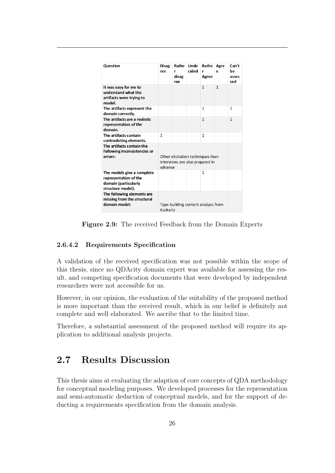<span id="page-30-1"></span>

| <b>Question</b>                                                                                  | <b>Disag</b><br>ree | Rathe<br>r<br>disag<br>ree                                           | Unde<br>cided | Rathe<br>r<br>Agree | Agre<br>e    | Can't<br>be<br>asses<br>sed |
|--------------------------------------------------------------------------------------------------|---------------------|----------------------------------------------------------------------|---------------|---------------------|--------------|-----------------------------|
| It was easy for me to<br>understand what the<br>artifacts were trying to<br>model.               |                     |                                                                      |               | $\mathbf{1}$        | $\mathbf{1}$ |                             |
| The artifacts represent the<br>domain correctly.                                                 |                     |                                                                      |               | 1                   |              | $\mathbf{1}$                |
| The artifacts are a realistic<br>representation of the<br>domain.                                |                     |                                                                      |               | $\mathbf{1}$        |              | $\mathbf{1}$                |
| The artifacts contain<br>contradicting elements.                                                 | $\mathbf{1}$        |                                                                      |               | 1                   |              |                             |
| The artifacts contain the<br>following inconsistencies or<br>errors:                             | advance             | Other elicitation techniques than<br>interviews are also prepared in |               |                     |              |                             |
| The models give a complete<br>representation of the<br>domain (particularly<br>structure model). |                     |                                                                      |               | 1                   |              |                             |
| The following elements are<br>missing from the structural<br>domain model:                       | Kuckartz            | Type-building content analysis from                                  |               |                     |              |                             |

Figure 2.9: The received Feedback from the Domain Experts

#### 2.6.4.2 Requirements Specification

A validation of the received specification was not possible within the scope of this thesis, since no QDAcity domain expert was available for assessing the result, and competing specification documents that were developed by independent researchers were not accessible for us.

However, in our opinion, the evaluation of the suitability of the proposed method is more important than the received result, which in our belief is definitely not complete and well elaborated. We ascribe that to the limited time.

<span id="page-30-0"></span>Therefore, a substantial assessment of the proposed method will require its application to additional analysis projects.

# 2.7 Results Discussion

This thesis aims at evaluating the adaption of core concepts of QDA methodology for conceptual modeling purposes. We developed processes for the representation and semi-automatic deduction of conceptual models, and for the support of deducting a requirements specification from the domain analysis.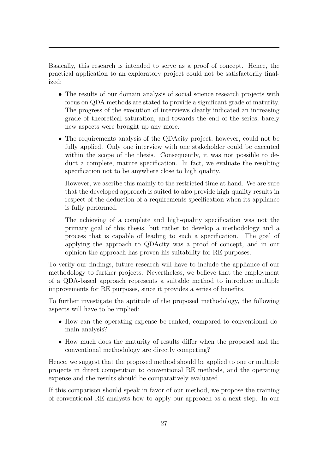Basically, this research is intended to serve as a proof of concept. Hence, the practical application to an exploratory project could not be satisfactorily finalized:

- The results of our domain analysis of social science research projects with focus on QDA methods are stated to provide a significant grade of maturity. The progress of the execution of interviews clearly indicated an increasing grade of theoretical saturation, and towards the end of the series, barely new aspects were brought up any more.
- The requirements analysis of the QDAcity project, however, could not be fully applied. Only one interview with one stakeholder could be executed within the scope of the thesis. Consequently, it was not possible to deduct a complete, mature specification. In fact, we evaluate the resulting specification not to be anywhere close to high quality.

However, we ascribe this mainly to the restricted time at hand. We are sure that the developed approach is suited to also provide high-quality results in respect of the deduction of a requirements specification when its appliance is fully performed.

The achieving of a complete and high-quality specification was not the primary goal of this thesis, but rather to develop a methodology and a process that is capable of leading to such a specification. The goal of applying the approach to QDAcity was a proof of concept, and in our opinion the approach has proven his suitability for RE purposes.

To verify our findings, future research will have to include the appliance of our methodology to further projects. Nevertheless, we believe that the employment of a QDA-based approach represents a suitable method to introduce multiple improvements for RE purposes, since it provides a series of benefits.

To further investigate the aptitude of the proposed methodology, the following aspects will have to be implied:

- How can the operating expense be ranked, compared to conventional domain analysis?
- How much does the maturity of results differ when the proposed and the conventional methodology are directly competing?

Hence, we suggest that the proposed method should be applied to one or multiple projects in direct competition to conventional RE methods, and the operating expense and the results should be comparatively evaluated.

If this comparison should speak in favor of our method, we propose the training of conventional RE analysts how to apply our approach as a next step. In our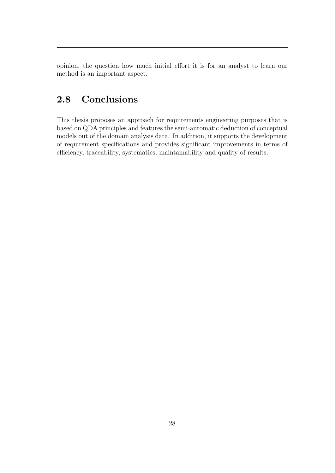<span id="page-32-0"></span>opinion, the question how much initial effort it is for an analyst to learn our method is an important aspect.

# 2.8 Conclusions

This thesis proposes an approach for requirements engineering purposes that is based on QDA principles and features the semi-automatic deduction of conceptual models out of the domain analysis data. In addition, it supports the development of requirement specifications and provides significant improvements in terms of efficiency, traceability, systematics, maintainability and quality of results.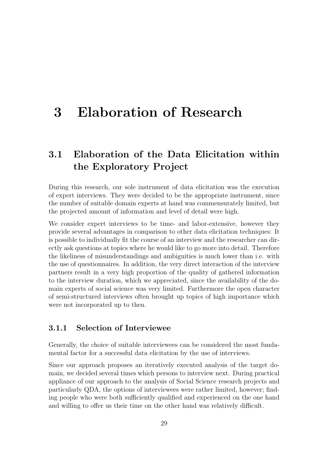# <span id="page-33-0"></span>3 Elaboration of Research

# <span id="page-33-1"></span>3.1 Elaboration of the Data Elicitation within the Exploratory Project

During this research, our sole instrument of data elicitation was the execution of expert interviews. They were decided to be the appropriate instrument, since the number of suitable domain experts at hand was commensurately limited, but the projected amount of information and level of detail were high.

We consider expert interviews to be time- and labor-extensive, however they provide several advantages in comparison to other data elicitation techniques: It is possible to individually fit the course of an interview and the researcher can directly ask questions at topics where he would like to go more into detail. Therefore the likeliness of misunderstandings and ambiguities is much lower than i.e. with the use of questionnaires. In addition, the very direct interaction of the interview partners result in a very high proportion of the quality of gathered information to the interview duration, which we appreciated, since the availability of the domain experts of social science was very limited. Furthermore the open character of semi-structured interviews often brought up topics of high importance which were not incorporated up to then.

### <span id="page-33-2"></span>3.1.1 Selection of Interviewee

Generally, the choice of suitable interviewees can be considered the most fundamental factor for a successful data elicitation by the use of interviews.

Since our approach proposes an iteratively executed analysis of the target domain, we decided several times which persons to interview next. During practical appliance of our approach to the analysis of Social Science research projects and particularly QDA, the options of interviewees were rather limited, however; finding people who were both sufficiently qualified and experienced on the one hand and willing to offer us their time on the other hand was relatively difficult.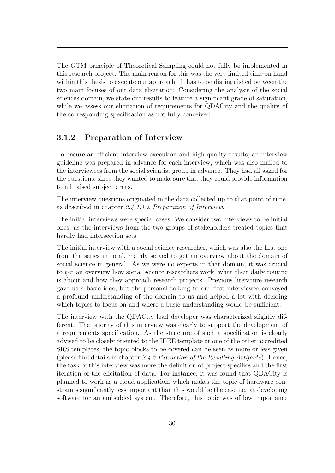The GTM principle of Theoretical Sampling could not fully be implemented in this research project. The main reason for this was the very limited time on hand within this thesis to execute our approach. It has to be distinguished between the two main focuses of our data elicitation: Considering the analysis of the social sciences domain, we state our results to feature a significant grade of saturation, while we assess our elicitation of requirements for QDACity and the quality of the corresponding specification as not fully conceived.

### <span id="page-34-0"></span>3.1.2 Preparation of Interview

To ensure an efficient interview execution and high-quality results, an interview guideline was prepared in advance for each interview, which was also mailed to the interviewees from the social scientist group in advance. They had all asked for the questions, since they wanted to make sure that they could provide information to all raised subject areas.

The interview questions originated in the data collected up to that point of time, as described in chapter [2.4.1.1.2](#page-9-3) Preparation of Interview.

The initial interviews were special cases. We consider two interviews to be initial ones, as the interviews from the two groups of stakeholders treated topics that hardly had intersection sets.

The initial interview with a social science researcher, which was also the first one from the series in total, mainly served to get an overview about the domain of social science in general. As we were no experts in that domain, it was crucial to get an overview how social science researchers work, what their daily routine is about and how they approach research projects. Previous literature research gave us a basic idea, but the personal talking to our first interviewee conveyed a profound understanding of the domain to us and helped a lot with deciding which topics to focus on and where a basic understanding would be sufficient.

The interview with the QDACity lead developer was characterized slightly different. The priority of this interview was clearly to support the development of a requirements specification. As the structure of such a specification is clearly advised to be closely oriented to the IEEE template or one of the other accredited SRS templates, the topic blocks to be covered can be seen as more or less given (please find details in chapter  $2.4.2$  Extraction of the Resulting Artifacts). Hence, the task of this interview was more the definition of project specifics and the first iteration of the elicitation of data: For instance, it was found that QDACity is planned to work as a cloud application, which makes the topic of hardware constraints significantly less important than this would be the case i.e. at developing software for an embedded system. Therefore, this topic was of low importance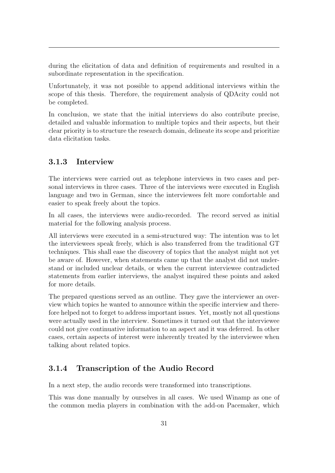during the elicitation of data and definition of requirements and resulted in a subordinate representation in the specification.

Unfortunately, it was not possible to append additional interviews within the scope of this thesis. Therefore, the requirement analysis of QDAcity could not be completed.

In conclusion, we state that the initial interviews do also contribute precise, detailed and valuable information to multiple topics and their aspects, but their clear priority is to structure the research domain, delineate its scope and prioritize data elicitation tasks.

#### <span id="page-35-0"></span>3.1.3 Interview

The interviews were carried out as telephone interviews in two cases and personal interviews in three cases. Three of the interviews were executed in English language and two in German, since the interviewees felt more comfortable and easier to speak freely about the topics.

In all cases, the interviews were audio-recorded. The record served as initial material for the following analysis process.

All interviews were executed in a semi-structured way: The intention was to let the interviewees speak freely, which is also transferred from the traditional GT techniques. This shall ease the discovery of topics that the analyst might not yet be aware of. However, when statements came up that the analyst did not understand or included unclear details, or when the current interviewee contradicted statements from earlier interviews, the analyst inquired these points and asked for more details.

The prepared questions served as an outline. They gave the interviewer an overview which topics he wanted to announce within the specific interview and therefore helped not to forget to address important issues. Yet, mostly not all questions were actually used in the interview. Sometimes it turned out that the interviewee could not give continuative information to an aspect and it was deferred. In other cases, certain aspects of interest were inherently treated by the interviewee when talking about related topics.

#### <span id="page-35-1"></span>3.1.4 Transcription of the Audio Record

In a next step, the audio records were transformed into transcriptions.

This was done manually by ourselves in all cases. We used Winamp as one of the common media players in combination with the add-on Pacemaker, which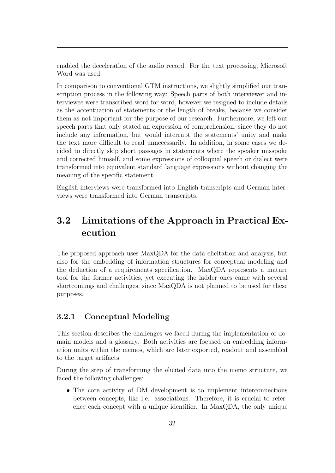enabled the deceleration of the audio record. For the text processing, Microsoft Word was used.

In comparison to conventional GTM instructions, we slightly simplified our transcription process in the following way: Speech parts of both interviewer and interviewee were transcribed word for word, however we resigned to include details as the accentuation of statements or the length of breaks, because we consider them as not important for the purpose of our research. Furthermore, we left out speech parts that only stated an expression of comprehension, since they do not include any information, but would interrupt the statements' unity and make the text more difficult to read unnecessarily. In addition, in some cases we decided to directly skip short passages in statements where the speaker misspoke and corrected himself, and some expressions of colloquial speech or dialect were transformed into equivalent standard language expressions without changing the meaning of the specific statement.

<span id="page-36-0"></span>English interviews were transformed into English transcripts and German interviews were transformed into German transcripts.

# 3.2 Limitations of the Approach in Practical Execution

The proposed approach uses MaxQDA for the data elicitation and analysis, but also for the embedding of information structures for conceptual modeling and the deduction of a requirements specification. MaxQDA represents a mature tool for the former activities, yet executing the ladder ones came with several shortcomings and challenges, since MaxQDA is not planned to be used for these purposes.

#### <span id="page-36-1"></span>3.2.1 Conceptual Modeling

This section describes the challenges we faced during the implementation of domain models and a glossary. Both activities are focused on embedding information units within the memos, which are later exported, readout and assembled to the target artifacts.

During the step of transforming the elicited data into the memo structure, we faced the following challenges:

• The core activity of DM development is to implement interconnections between concepts, like i.e. associations. Therefore, it is crucial to reference each concept with a unique identifier. In MaxQDA, the only unique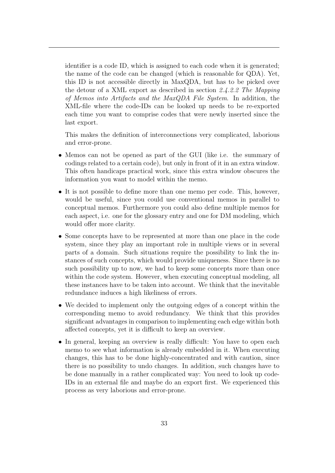identifier is a code ID, which is assigned to each code when it is generated; the name of the code can be changed (which is reasonable for QDA). Yet, this ID is not accessible directly in MaxQDA, but has to be picked over the detour of a XML export as described in section [2.4.2.2](#page-20-0) The Mapping of Memos into Artifacts and the MaxQDA File System. In addition, the XML-file where the code-IDs can be looked up needs to be re-exported each time you want to comprise codes that were newly inserted since the last export.

This makes the definition of interconnections very complicated, laborious and error-prone.

- Memos can not be opened as part of the GUI (like i.e. the summary of codings related to a certain code), but only in front of it in an extra window. This often handicaps practical work, since this extra window obscures the information you want to model within the memo.
- It is not possible to define more than one memo per code. This, however, would be useful, since you could use conventional memos in parallel to conceptual memos. Furthermore you could also define multiple memos for each aspect, i.e. one for the glossary entry and one for DM modeling, which would offer more clarity.
- Some concepts have to be represented at more than one place in the code system, since they play an important role in multiple views or in several parts of a domain. Such situations require the possibility to link the instances of such concepts, which would provide uniqueness. Since there is no such possibility up to now, we had to keep some concepts more than once within the code system. However, when executing conceptual modeling, all these instances have to be taken into account. We think that the inevitable redundance induces a high likeliness of errors.
- We decided to implement only the outgoing edges of a concept within the corresponding memo to avoid redundancy. We think that this provides significant advantages in comparison to implementing each edge within both affected concepts, yet it is difficult to keep an overview.
- <span id="page-37-0"></span>• In general, keeping an overview is really difficult: You have to open each memo to see what information is already embedded in it. When executing changes, this has to be done highly-concentrated and with caution, since there is no possibility to undo changes. In addition, such changes have to be done manually in a rather complicated way: You need to look up code-IDs in an external file and maybe do an export first. We experienced this process as very laborious and error-prone.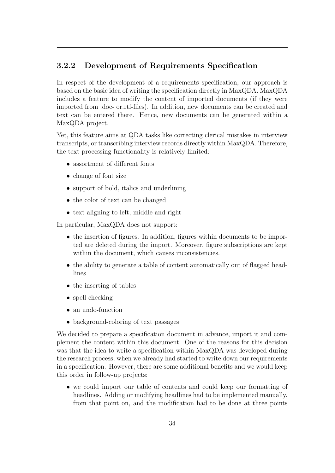### 3.2.2 Development of Requirements Specification

In respect of the development of a requirements specification, our approach is based on the basic idea of writing the specification directly in MaxQDA. MaxQDA includes a feature to modify the content of imported documents (if they were imported from .doc- or.rtf-files). In addition, new documents can be created and text can be entered there. Hence, new documents can be generated within a MaxQDA project.

Yet, this feature aims at QDA tasks like correcting clerical mistakes in interview transcripts, or transcribing interview records directly within MaxQDA. Therefore, the text processing functionality is relatively limited:

- assortment of different fonts
- change of font size
- support of bold, italics and underlining
- the color of text can be changed
- text aligning to left, middle and right

In particular, MaxQDA does not support:

- the insertion of figures. In addition, figures within documents to be imported are deleted during the import. Moreover, figure subscriptions are kept within the document, which causes inconsistencies.
- the ability to generate a table of content automatically out of flagged headlines
- the inserting of tables
- spell checking
- an undo-function
- background-coloring of text passages

We decided to prepare a specification document in advance, import it and complement the content within this document. One of the reasons for this decision was that the idea to write a specification within MaxQDA was developed during the research process, when we already had started to write down our requirements in a specification. However, there are some additional benefits and we would keep this order in follow-up projects:

• we could import our table of contents and could keep our formatting of headlines. Adding or modifying headlines had to be implemented manually, from that point on, and the modification had to be done at three points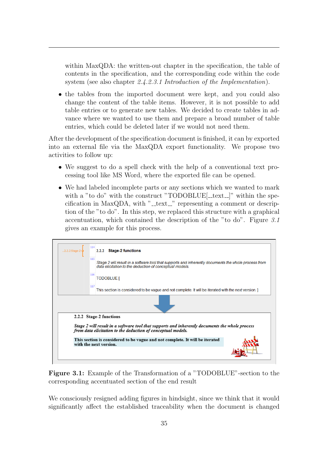within MaxQDA: the written-out chapter in the specification, the table of contents in the specification, and the corresponding code within the code system (see also chapter [2.4.2.3.1](#page-22-1) Introduction of the Implementation).

• the tables from the imported document were kept, and you could also change the content of the table items. However, it is not possible to add table entries or to generate new tables. We decided to create tables in advance where we wanted to use them and prepare a broad number of table entries, which could be deleted later if we would not need them.

After the development of the specification document is finished, it can by exported into an external file via the MaxQDA export functionality. We propose two activities to follow up:

- We suggest to do a spell check with the help of a conventional text processing tool like MS Word, where the exported file can be opened.
- We had labeled incomplete parts or any sections which we wanted to mark with a "to do" with the construct "TODOBLUE $[$ \_text $]$ " within the specification in MaxQDA, with " $Let$  $\mathcal{L}$ " representing a comment or description of the "to do". In this step, we replaced this structure with a graphical accentuation, which contained the description of the "to do". Figure [3.1](#page-39-0) gives an example for this process.

<span id="page-39-0"></span>

Figure 3.1: Example of the Transformation of a "TODOBLUE"-section to the corresponding accentuated section of the end result

We consciously resigned adding figures in hindsight, since we think that it would significantly affect the established traceability when the document is changed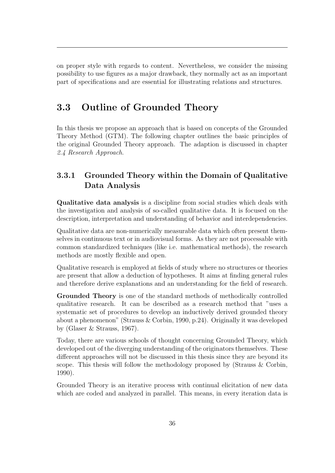on proper style with regards to content. Nevertheless, we consider the missing possibility to use figures as a major drawback, they normally act as an important part of specifications and are essential for illustrating relations and structures.

# <span id="page-40-0"></span>3.3 Outline of Grounded Theory

In this thesis we propose an approach that is based on concepts of the Grounded Theory Method (GTM). The following chapter outlines the basic principles of the original Grounded Theory approach. The adaption is discussed in chapter [2.4](#page-8-1) Research Approach.

## <span id="page-40-1"></span>3.3.1 Grounded Theory within the Domain of Qualitative Data Analysis

Qualitative data analysis is a discipline from social studies which deals with the investigation and analysis of so-called qualitative data. It is focused on the description, interpretation and understanding of behavior and interdependencies.

Qualitative data are non-numerically measurable data which often present themselves in continuous text or in audiovisual forms. As they are not processable with common standardized techniques (like i.e. mathematical methods), the research methods are mostly flexible and open.

Qualitative research is employed at fields of study where no structures or theories are present that allow a deduction of hypotheses. It aims at finding general rules and therefore derive explanations and an understanding for the field of research.

Grounded Theory is one of the standard methods of methodically controlled qualitative research. It can be described as a research method that "uses a systematic set of procedures to develop an inductively derived grounded theory about a phenomenon" [\(Strauss & Corbin, 1990,](#page-46-7) p.24). Originally it was developed by [\(Glaser & Strauss, 1967\)](#page-46-8).

Today, there are various schools of thought concerning Grounded Theory, which developed out of the diverging understanding of the originators themselves. These different approaches will not be discussed in this thesis since they are beyond its scope. This thesis will follow the methodology proposed by [\(Strauss & Corbin,](#page-46-7) [1990\)](#page-46-7).

Grounded Theory is an iterative process with continual elicitation of new data which are coded and analyzed in parallel. This means, in every iteration data is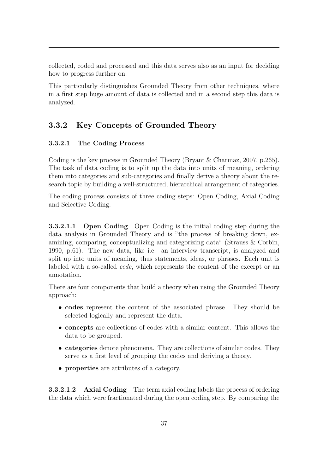collected, coded and processed and this data serves also as an input for deciding how to progress further on.

This particularly distinguishes Grounded Theory from other techniques, where in a first step huge amount of data is collected and in a second step this data is analyzed.

### <span id="page-41-0"></span>3.3.2 Key Concepts of Grounded Theory

#### <span id="page-41-1"></span>3.3.2.1 The Coding Process

Coding is the key process in Grounded Theory [\(Bryant & Charmaz, 2007,](#page-46-9) p.265). The task of data coding is to split up the data into units of meaning, ordering them into categories and sub-categories and finally derive a theory about the research topic by building a well-structured, hierarchical arrangement of categories.

<span id="page-41-2"></span>The coding process consists of three coding steps: Open Coding, Axial Coding and Selective Coding.

3.3.2.1.1 Open Coding Open Coding is the initial coding step during the data analysis in Grounded Theory and is "the process of breaking down, examining, comparing, conceptualizing and categorizing data" [\(Strauss & Corbin,](#page-46-7) [1990,](#page-46-7) p.61). The new data, like i.e. an interview transcript, is analyzed and split up into units of meaning, thus statements, ideas, or phrases. Each unit is labeled with a so-called code, which represents the content of the excerpt or an annotation.

There are four components that build a theory when using the Grounded Theory approach:

- codes represent the content of the associated phrase. They should be selected logically and represent the data.
- concepts are collections of codes with a similar content. This allows the data to be grouped.
- categories denote phenomena. They are collections of similar codes. They serve as a first level of grouping the codes and deriving a theory.
- <span id="page-41-3"></span>• properties are attributes of a category.

3.3.2.1.2 Axial Coding The term axial coding labels the process of ordering the data which were fractionated during the open coding step. By comparing the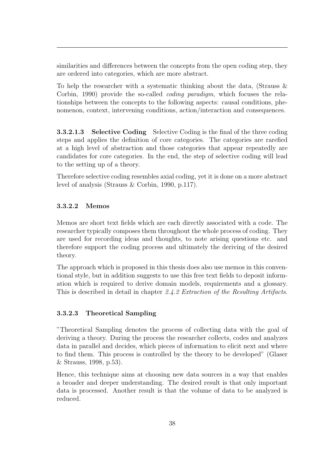similarities and differences between the concepts from the open coding step, they are ordered into categories, which are more abstract.

To help the researcher with a systematic thinking about the data, [\(Strauss &](#page-46-7) [Corbin, 1990\)](#page-46-7) provide the so-called coding paradigm, which focuses the relationships between the concepts to the following aspects: causal conditions, phenomenon, context, intervening conditions, action/interaction and consequences.

<span id="page-42-0"></span>**3.3.2.1.3** Selective Coding Selective Coding is the final of the three coding steps and applies the definition of core categories. The categories are rarefied at a high level of abstraction and those categories that appear repeatedly are candidates for core categories. In the end, the step of selective coding will lead to the setting up of a theory.

Therefore selective coding resembles axial coding, yet it is done on a more abstract level of analysis [\(Strauss & Corbin, 1990,](#page-46-7) p.117).

#### <span id="page-42-1"></span>3.3.2.2 Memos

Memos are short text fields which are each directly associated with a code. The researcher typically composes them throughout the whole process of coding. They are used for recording ideas and thoughts, to note arising questions etc. and therefore support the coding process and ultimately the deriving of the desired theory.

The approach which is proposed in this thesis does also use memos in this conventional style, but in addition suggests to use this free text fields to deposit information which is required to derive domain models, requirements and a glossary. This is described in detail in chapter [2.4.2](#page-12-1) Extraction of the Resulting Artifacts.

#### <span id="page-42-2"></span>3.3.2.3 Theoretical Sampling

"Theoretical Sampling denotes the process of collecting data with the goal of deriving a theory. During the process the researcher collects, codes and analyzes data in parallel and decides, which pieces of information to elicit next and where to find them. This process is controlled by the theory to be developed" [\(Glaser](#page-46-10) [& Strauss, 1998,](#page-46-10) p.53).

<span id="page-42-3"></span>Hence, this technique aims at choosing new data sources in a way that enables a broader and deeper understanding. The desired result is that only important data is processed. Another result is that the volume of data to be analyzed is reduced.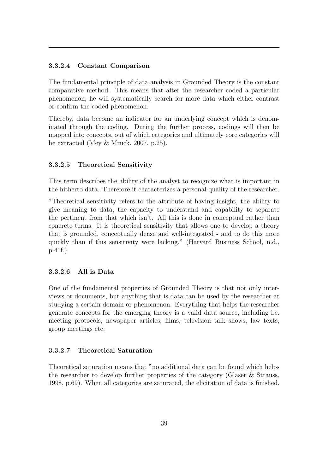#### 3.3.2.4 Constant Comparison

The fundamental principle of data analysis in Grounded Theory is the constant comparative method. This means that after the researcher coded a particular phenomenon, he will systematically search for more data which either contrast or confirm the coded phenomenon.

Thereby, data become an indicator for an underlying concept which is denominated through the coding. During the further process, codings will then be mapped into concepts, out of which categories and ultimately core categories will be extracted [\(Mey & Mruck, 2007,](#page-46-11) p.25).

#### <span id="page-43-0"></span>3.3.2.5 Theoretical Sensitivity

This term describes the ability of the analyst to recognize what is important in the hitherto data. Therefore it characterizes a personal quality of the researcher.

"Theoretical sensitivity refers to the attribute of having insight, the ability to give meaning to data, the capacity to understand and capability to separate the pertinent from that which isn't. All this is done in conceptual rather than concrete terms. It is theoretical sensitivity that allows one to develop a theory that is grounded, conceptually dense and well-integrated - and to do this more quickly than if this sensitivity were lacking." [\(Harvard Business School, n.d.,](#page-46-12) p.41f.)

#### <span id="page-43-1"></span>3.3.2.6 All is Data

One of the fundamental properties of Grounded Theory is that not only interviews or documents, but anything that is data can be used by the researcher at studying a certain domain or phenomenon. Everything that helps the researcher generate concepts for the emerging theory is a valid data source, including i.e. meeting protocols, newspaper articles, films, television talk shows, law texts, group meetings etc.

#### <span id="page-43-2"></span>3.3.2.7 Theoretical Saturation

Theoretical saturation means that "no additional data can be found which helps the researcher to develop further properties of the category [\(Glaser & Strauss,](#page-46-10) [1998,](#page-46-10) p.69). When all categories are saturated, the elicitation of data is finished.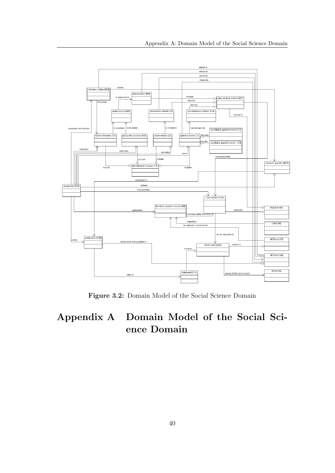<span id="page-44-1"></span>

Figure 3.2: Domain Model of the Social Science Domain

# <span id="page-44-0"></span>Appendix A Domain Model of the Social Science Domain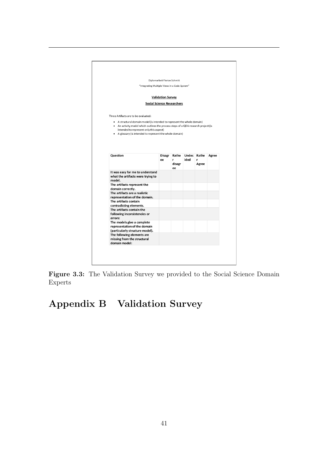<span id="page-45-1"></span>

| Diplomarbeit Florian Schmitt                                                       |                          |              |      |                  |       |
|------------------------------------------------------------------------------------|--------------------------|--------------|------|------------------|-------|
| "Integrating Multiple Views in a Code System"                                      |                          |              |      |                  |       |
|                                                                                    |                          |              |      |                  |       |
|                                                                                    | <b>Validation Survey</b> |              |      |                  |       |
| <b>Social Science Researchers</b>                                                  |                          |              |      |                  |       |
| Three Artifacts are to be evaluated:                                               |                          |              |      |                  |       |
| • A structural domain model (is intended to represent the whole domain)            |                          |              |      |                  |       |
| • An activity model which outlines the process steps of a QDA research project (is |                          |              |      |                  |       |
| intended to represent only this aspect)                                            |                          |              |      |                  |       |
| • A glossary (is intended to represent the whole domain)                           |                          |              |      |                  |       |
|                                                                                    |                          |              |      |                  |       |
|                                                                                    |                          |              |      |                  |       |
| Question                                                                           | Disagr<br>ee             | Rathe<br>r.  | ided | Undec Rathe<br>r | Agree |
|                                                                                    |                          | disagr<br>ee |      | Agree            |       |
| It was easy for me to understand                                                   |                          |              |      |                  |       |
| what the artifacts were trying to                                                  |                          |              |      |                  |       |
| model.                                                                             |                          |              |      |                  |       |
| The artifacts represent the<br>domain correctly.                                   |                          |              |      |                  |       |
| The artifacts are a realistic                                                      |                          |              |      |                  |       |
| representation of the domain.                                                      |                          |              |      |                  |       |
| The artifacts contain                                                              |                          |              |      |                  |       |
| contradicting elements.                                                            |                          |              |      |                  |       |
| The artifacts contain the                                                          |                          |              |      |                  |       |
| following inconsistencies or<br>errors:                                            |                          |              |      |                  |       |
| The models give a complete                                                         |                          |              |      |                  |       |
| representation of the domain                                                       |                          |              |      |                  |       |
| (particularly structure model).                                                    |                          |              |      |                  |       |
| The following elements are                                                         |                          |              |      |                  |       |
| missing from the structural                                                        |                          |              |      |                  |       |

Figure 3.3: The Validation Survey we provided to the Social Science Domain Experts

# <span id="page-45-0"></span>Appendix B Validation Survey